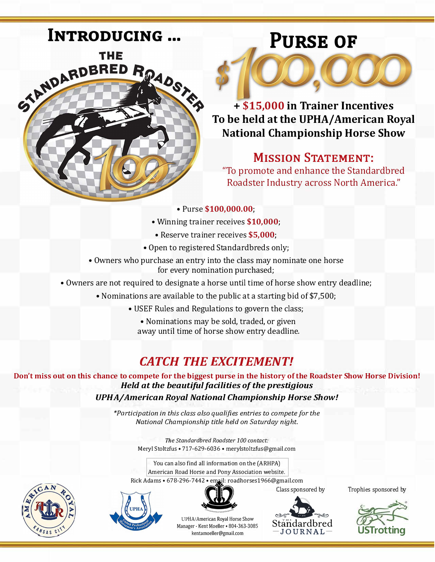# **INTRODUCING...** THE THE RPADSTER

# **PURSE OF**



+ **\$15,000 in Trainer Incentives To be held at the UPHA/ American Royal National Championship Horse Show** 

## **MISSION STATEMENT:**

"To promote and enhance the Standardbred Roadster Industry across North America."

- Purse **\$100,000.00;**
- Winning trainer receives **\$10,000;**
- Reserve trainer receives **\$5,000;**
- Open to registered Standardbreds only;
- Owners who purchase an entry into the class may nominate one horse for every nomination purchased;
- Owners are not required to designate a horse until time of horse show entry deadline;
	- Nominations are available to the public at a starting bid of \$7,500;
		- USEF Rules and Regulations to govern the class;
			- Nominations may be sold, traded, or given away until time of horse show entry deadline.

# *CATCH THE EXCITEMENT!*

**Don't miss out on this chance to compete for the biggest purse in the history of the Roadster Show Horse Division!**  *Held at the beautiful facilities of the prestigious UPHA/American Royal National Championship Horse Show!* 

> *\*Participation in this class also qualifies entries to compete for the National Championship title held on Saturday night.*

> > *The Standardbred Roadster 100 contact:*  Meryl Stoltzfus• 717-629-6036 • merylstoltzfus@gmail.com

[You can also find all information on the \(ARHPA\)](https://roadster.show)  American Road Horse and Pony Association website. Rick Adams• 678-296-7442 • email: roadhorses1966@gmail.com





**Standardbred -JOURNAL-**

Class sponsored by

Trophies sponsored by